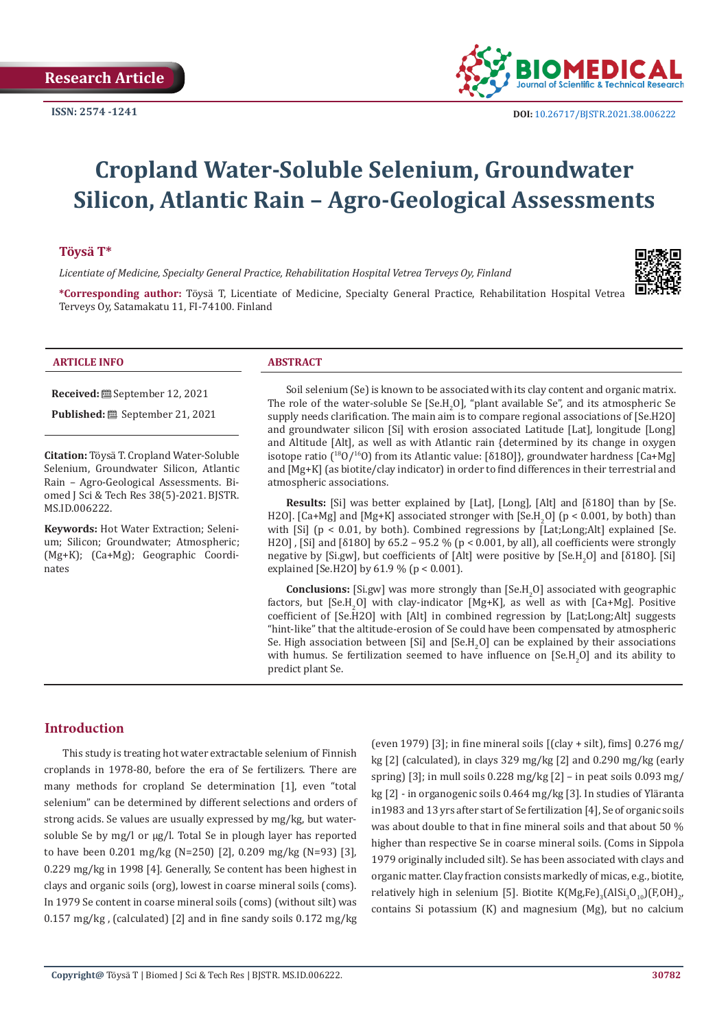

# **Cropland Water-Soluble Selenium, Groundwater Silicon, Atlantic Rain – Agro-Geological Assessments**

#### **Töysä T\***

*Licentiate of Medicine, Specialty General Practice, Rehabilitation Hospital Vetrea Terveys Oy, Finland* 



**\*Corresponding author:** Töysä T, Licentiate of Medicine, Specialty General Practice, Rehabilitation Hospital Vetrea Terveys Oy, Satamakatu 11, FI-74100. Finland

#### **ARTICLE INFO ABSTRACT**

**Received:** September 12, 2021

Published: **i** September 21, 2021

**Citation:** Töysä T. Cropland Water-Soluble Selenium, Groundwater Silicon, Atlantic Rain – Agro-Geological Assessments. Biomed J Sci & Tech Res 38(5)-2021. BJSTR. MS.ID.006222.

**Keywords:** Hot Water Extraction; Selenium; Silicon; Groundwater; Atmospheric; (Mg+K); (Ca+Mg); Geographic Coordinates

Soil selenium (Se) is known to be associated with its clay content and organic matrix. The role of the water-soluble Se  $[SeH<sub>2</sub>O]$ , "plant available Se", and its atmospheric Se supply needs clarification. The main aim is to compare regional associations of [Se.H2O] and groundwater silicon [Si] with erosion associated Latitude [Lat], longitude [Long] and Altitude [Alt], as well as with Atlantic rain {determined by its change in oxygen isotope ratio (<sup>18</sup>O/<sup>16</sup>O) from its Atlantic value: [δ18O], groundwater hardness [Ca+Mg] and [Mg+K] (as biotite/clay indicator) in order to find differences in their terrestrial and atmospheric associations.

**Results:** [Si] was better explained by [Lat], [Long], [Alt] and [δ18O] than by [Se. H2OJ. [Ca+Mg] and [Mg+K] associated stronger with  $[SeH_2O]$  (p < 0.001, by both) than with [Si] (p < 0.01, by both). Combined regressions by [Lat;Long;Alt] explained [Se. H2O] , [Si] and [δ18O] by 65.2 – 95.2 % (p < 0.001, by all), all coefficients were strongly negative by [Si.gw], but coefficients of [Alt] were positive by [Se.H<sub>2</sub>O] and [δ18O]. [Si] explained [Se.H2O] by 61.9 % (p < 0.001).

**Conclusions:** [Si.gw] was more strongly than  $[Se.H<sub>2</sub>O]$  associated with geographic factors, but  $[SeH_2O]$  with clay-indicator  $[Mg+K]$ , as well as with  $[Ca+Mg]$ . Positive coefficient of [Se.H2O] with [Alt] in combined regression by [Lat;Long;Alt] suggests "hint-like" that the altitude-erosion of Se could have been compensated by atmospheric Se. High association between [Si] and [Se.H<sub>2</sub>O] can be explained by their associations with humus. Se fertilization seemed to have influence on  $[SeH_2O]$  and its ability to predict plant Se.

#### **Introduction**

This study is treating hot water extractable selenium of Finnish croplands in 1978-80, before the era of Se fertilizers. There are many methods for cropland Se determination [1], even "total selenium" can be determined by different selections and orders of strong acids. Se values are usually expressed by mg/kg, but watersoluble Se by mg/l or µg/l. Total Se in plough layer has reported to have been 0.201 mg/kg (N=250) [2], 0.209 mg/kg (N=93) [3], 0.229 mg/kg in 1998 [4]. Generally, Se content has been highest in clays and organic soils (org), lowest in coarse mineral soils (coms). In 1979 Se content in coarse mineral soils (coms) (without silt) was 0.157 mg/kg , (calculated) [2] and in fine sandy soils 0.172 mg/kg

(even 1979) [3]; in fine mineral soils  $[(clav + silt)]$ , fims] 0.276 mg/ kg [2] (calculated), in clays 329 mg/kg [2] and 0.290 mg/kg (early spring) [3]; in mull soils 0.228 mg/kg [2] – in peat soils 0.093 mg/ kg [2] - in organogenic soils 0.464 mg/kg [3]. In studies of Yläranta in1983 and 13 yrs after start of Se fertilization [4], Se of organic soils was about double to that in fine mineral soils and that about 50 % higher than respective Se in coarse mineral soils. (Coms in Sippola 1979 originally included silt). Se has been associated with clays and organic matter. Clay fraction consists markedly of micas, e.g., biotite, relatively high in selenium [5]. Biotite  $K(Mg,Fe)_{3}(AISi_{3}O_{10})(F,OH)_{2}$ , contains Si potassium (K) and magnesium (Mg), but no calcium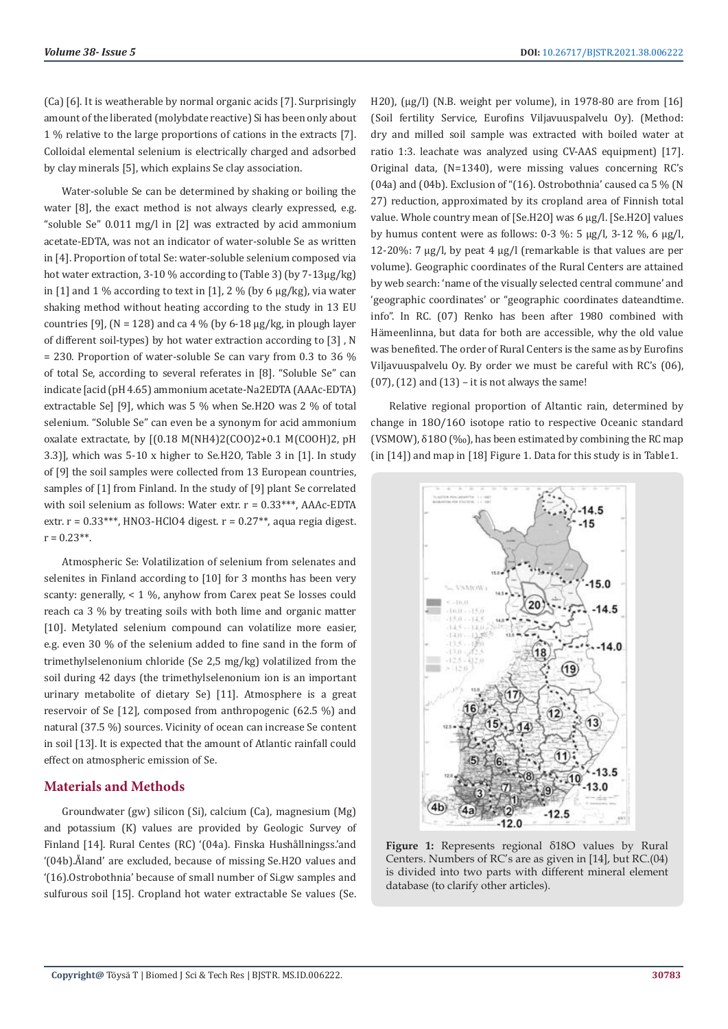(Ca) [6]. It is weatherable by normal organic acids [7]. Surprisingly amount of the liberated (molybdate reactive) Si has been only about 1 % relative to the large proportions of cations in the extracts [7]. Colloidal elemental selenium is electrically charged and adsorbed by clay minerals [5], which explains Se clay association.

Water-soluble Se can be determined by shaking or boiling the water [8], the exact method is not always clearly expressed, e.g. "soluble Se" 0.011 mg/l in [2] was extracted by acid ammonium acetate-EDTA, was not an indicator of water-soluble Se as written in [4]. Proportion of total Se: water-soluble selenium composed via hot water extraction, 3-10 % according to (Table 3) (by 7-13µg/kg) in [1] and 1 % according to text in [1], 2 % (by 6  $\mu$ g/kg), via water shaking method without heating according to the study in 13 EU countries [9], ( $N = 128$ ) and ca 4 % (by 6-18 µg/kg, in plough layer of different soil-types) by hot water extraction according to [3] , N  $= 230$ . Proportion of water-soluble Se can vary from 0.3 to 36 % of total Se, according to several referates in [8]. "Soluble Se" can indicate [acid (pH 4.65) ammonium acetate-Na2EDTA (AAAc-EDTA) extractable Se] [9], which was 5 % when Se.H2O was 2 % of total selenium. "Soluble Se" can even be a synonym for acid ammonium oxalate extractate, by [(0.18 M(NH4)2(COO)2+0.1 M(COOH)2, pH 3.3)], which was 5-10 x higher to Se.H2O, Table 3 in [1]. In study of [9] the soil samples were collected from 13 European countries, samples of [1] from Finland. In the study of [9] plant Se correlated with soil selenium as follows: Water extr.  $r = 0.33***$ , AAAc-EDTA extr.  $r = 0.33***$ , HNO3-HClO4 digest.  $r = 0.27**$ , aqua regia digest.  $r = 0.23**$ .

Atmospheric Se: Volatilization of selenium from selenates and selenites in Finland according to [10] for 3 months has been very scanty: generally, < 1 %, anyhow from Carex peat Se losses could reach ca 3 % by treating soils with both lime and organic matter [10]. Metylated selenium compound can volatilize more easier, e.g. even 30 % of the selenium added to fine sand in the form of trimethylselenonium chloride (Se 2,5 mg/kg) volatilized from the soil during 42 days (the trimethylselenonium ion is an important urinary metabolite of dietary Se) [11]. Atmosphere is a great reservoir of Se [12], composed from anthropogenic (62.5 %) and natural (37.5 %) sources. Vicinity of ocean can increase Se content in soil [13]. It is expected that the amount of Atlantic rainfall could effect on atmospheric emission of Se.

#### **Materials and Methods**

Groundwater (gw) silicon (Si), calcium (Ca), magnesium (Mg) and potassium (K) values are provided by Geologic Survey of Finland [14]. Rural Centes (RC) '(04a). Finska Hushållningss.'and '(04b).Åland' are excluded, because of missing Se.H2O values and '(16).Ostrobothnia' because of small number of Si.gw samples and sulfurous soil [15]. Cropland hot water extractable Se values (Se.

H20),  $\mu$ g/l) (N.B. weight per volume), in 1978-80 are from [16] (Soil fertility Service, Eurofins Viljavuuspalvelu Oy). (Method: dry and milled soil sample was extracted with boiled water at ratio 1:3. leachate was analyzed using CV-AAS equipment) [17]. Original data, (N=1340), were missing values concerning RC's (04a) and (04b). Exclusion of " $(16)$ . Ostrobothnia' caused ca 5 % (N 27) reduction, approximated by its cropland area of Finnish total value. Whole country mean of [Se.H2O] was 6 µg/l. [Se.H2O] values by humus content were as follows:  $0-3$  %:  $5 \mu g/l$ ,  $3-12$  %,  $6 \mu g/l$ , 12-20%: 7 µg/l, by peat 4 µg/l (remarkable is that values are per volume). Geographic coordinates of the Rural Centers are attained by web search: 'name of the visually selected central commune' and 'geographic coordinates' or "geographic coordinates dateandtime. info". In RC. (07) Renko has been after 1980 combined with Hämeenlinna, but data for both are accessible, why the old value was benefited. The order of Rural Centers is the same as by Eurofins Viljavuuspalvelu Oy. By order we must be careful with RC's (06),  $(07)$ ,  $(12)$  and  $(13)$  – it is not always the same!

Relative regional proportion of Altantic rain, determined by change in 18O/16O isotope ratio to respective Oceanic standard (VSMOW), δ18O (‰), has been estimated by combining the RC map (in [14]) and map in [18] Figure 1. Data for this study is in Table1.



**Figure 1:** Represents regional δ18O values by Rural Centers. Numbers of RC's are as given in [14], but RC.(04) is divided into two parts with different mineral element database (to clarify other articles).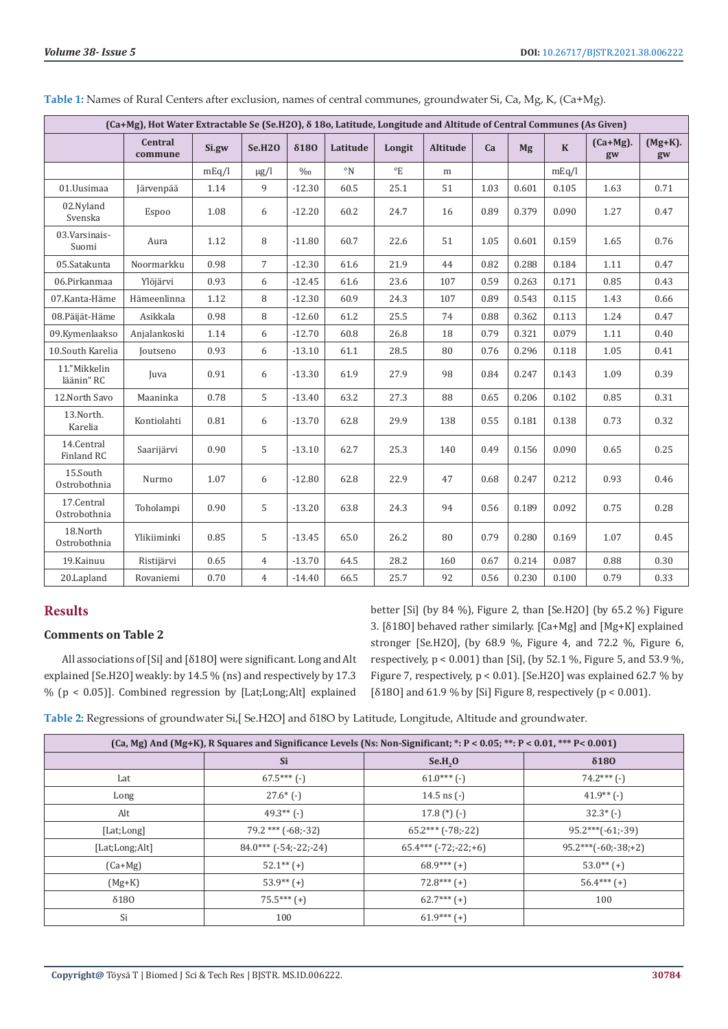| (Ca+Mg), Hot Water Extractable Se (Se.H2O), $\delta$ 18o, Latitude, Longitude and Altitude of Central Communes (As Given) |                           |       |                |               |                      |              |          |      |       |             |                   |                  |
|---------------------------------------------------------------------------------------------------------------------------|---------------------------|-------|----------------|---------------|----------------------|--------------|----------|------|-------|-------------|-------------------|------------------|
|                                                                                                                           | <b>Central</b><br>commune | Si.gw | <b>Se.H2O</b>  | $\delta$ 180  | Latitude             | Longit       | Altitude | Ca   | Mg    | $\mathbf K$ | $(Ca+Mg)$ .<br>gw | $(Mg+K)$ .<br>gw |
|                                                                                                                           |                           | mEq/l | $\mu$ g/l      | $\frac{0}{0}$ | $\circ$ <sub>N</sub> | $\mathrm{P}$ | m        |      |       | mEq/l       |                   |                  |
| 01.Uusimaa                                                                                                                | Järvenpää                 | 1.14  | 9              | $-12.30$      | 60.5                 | 25.1         | 51       | 1.03 | 0.601 | 0.105       | 1.63              | 0.71             |
| 02.Nyland<br>Svenska                                                                                                      | Espoo                     | 1.08  | 6              | $-12.20$      | 60.2                 | 24.7         | 16       | 0.89 | 0.379 | 0.090       | 1.27              | 0.47             |
| 03. Varsinais-<br>Suomi                                                                                                   | Aura                      | 1.12  | 8              | $-11.80$      | 60.7                 | 22.6         | 51       | 1.05 | 0.601 | 0.159       | 1.65              | 0.76             |
| 05.Satakunta                                                                                                              | Noormarkku                | 0.98  | $\overline{7}$ | $-12.30$      | 61.6                 | 21.9         | 44       | 0.82 | 0.288 | 0.184       | 1.11              | 0.47             |
| 06.Pirkanmaa                                                                                                              | Ylöjärvi                  | 0.93  | 6              | $-12.45$      | 61.6                 | 23.6         | 107      | 0.59 | 0.263 | 0.171       | 0.85              | 0.43             |
| 07.Kanta-Häme                                                                                                             | Hämeenlinna               | 1.12  | 8              | $-12.30$      | 60.9                 | 24.3         | 107      | 0.89 | 0.543 | 0.115       | 1.43              | 0.66             |
| 08.Päijät-Häme                                                                                                            | Asikkala                  | 0.98  | 8              | $-12.60$      | 61.2                 | 25.5         | 74       | 0.88 | 0.362 | 0.113       | 1.24              | 0.47             |
| 09.Kymenlaakso                                                                                                            | Anjalankoski              | 1.14  | 6              | $-12.70$      | 60.8                 | 26.8         | 18       | 0.79 | 0.321 | 0.079       | 1.11              | 0.40             |
| 10.South Karelia                                                                                                          | Joutseno                  | 0.93  | 6              | $-13.10$      | 61.1                 | 28.5         | 80       | 0.76 | 0.296 | 0.118       | 1.05              | 0.41             |
| 11."Mikkelin<br>läänin" RC                                                                                                | Juva                      | 0.91  | 6              | $-13.30$      | 61.9                 | 27.9         | 98       | 0.84 | 0.247 | 0.143       | 1.09              | 0.39             |
| 12. North Savo                                                                                                            | Maaninka                  | 0.78  | 5              | $-13.40$      | 63.2                 | 27.3         | 88       | 0.65 | 0.206 | 0.102       | 0.85              | 0.31             |
| 13.North.<br>Karelia                                                                                                      | Kontiolahti               | 0.81  | 6              | $-13.70$      | 62.8                 | 29.9         | 138      | 0.55 | 0.181 | 0.138       | 0.73              | 0.32             |
| 14.Central<br>Finland RC                                                                                                  | Saarijärvi                | 0.90  | 5              | $-13.10$      | 62.7                 | 25.3         | 140      | 0.49 | 0.156 | 0.090       | 0.65              | 0.25             |
| 15.South<br>Ostrobothnia                                                                                                  | Nurmo                     | 1.07  | 6              | $-12.80$      | 62.8                 | 22.9         | 47       | 0.68 | 0.247 | 0.212       | 0.93              | 0.46             |
| 17.Central<br>Ostrobothnia                                                                                                | Toholampi                 | 0.90  | 5              | $-13.20$      | 63.8                 | 24.3         | 94       | 0.56 | 0.189 | 0.092       | 0.75              | 0.28             |
| 18.North<br>Ostrobothnia                                                                                                  | Ylikiiminki               | 0.85  | 5              | $-13.45$      | 65.0                 | 26.2         | 80       | 0.79 | 0.280 | 0.169       | 1.07              | 0.45             |
| 19.Kainuu                                                                                                                 | Ristijärvi                | 0.65  | $\overline{4}$ | $-13.70$      | 64.5                 | 28.2         | 160      | 0.67 | 0.214 | 0.087       | 0.88              | 0.30             |
| 20.Lapland                                                                                                                | Rovaniemi                 | 0.70  | $\overline{4}$ | $-14.40$      | 66.5                 | 25.7         | 92       | 0.56 | 0.230 | 0.100       | 0.79              | 0.33             |

**Table 1:** Names of Rural Centers after exclusion, names of central communes, groundwater Si, Ca, Mg, K, (Ca+Mg).

## **Results**

#### **Comments on Table 2**

All associations of [Si] and [δ18O] were significant. Long and Alt explained [Se.H2O] weakly: by 14.5 % (ns) and respectively by 17.3 % (p < 0.05)]. Combined regression by [Lat;Long;Alt] explained

better [Si] (by 84 %), Figure 2, than [Se.H2O] (by 65.2 %) Figure 3. [δ18O] behaved rather similarly. [Ca+Mg] and [Mg+K] explained stronger [Se.H2O], (by 68.9 %, Figure 4, and 72.2 %, Figure 6, respectively, p < 0.001) than [Si], (by 52.1 %, Figure 5, and 53.9 %, Figure 7, respectively,  $p < 0.01$ ). [Se.H2O] was explained 62.7 % by [ $\delta$ 180] and 61.9 % by [Si] Figure 8, respectively ( $p < 0.001$ ).

**Table 2:** Regressions of groundwater Si,[ Se.H2O] and δ18O by Latitude, Longitude, Altitude and groundwater.

| (Ca, Mg) And (Mg+K), R Squares and Significance Levels (Ns: Non-Significant; *: P < 0.05; **: P < 0.01, *** P < 0.001) |                           |                          |                       |  |  |  |  |  |  |  |
|------------------------------------------------------------------------------------------------------------------------|---------------------------|--------------------------|-----------------------|--|--|--|--|--|--|--|
|                                                                                                                        | Si                        | Se.H, O                  | $\delta$ 180          |  |  |  |  |  |  |  |
| Lat                                                                                                                    | $67.5***$ (-)             | $61.0***$ (-)            | $74.2***$ (-)         |  |  |  |  |  |  |  |
| Long                                                                                                                   | $27.6*$ (-)               | 14.5 ns $(-)$            | $41.9**$ (-)          |  |  |  |  |  |  |  |
| Alt                                                                                                                    | $49.3**$ (-)              | 17.8 $(*)$ (-)           | $32.3^{\ast}$ (-)     |  |  |  |  |  |  |  |
| [Lat;Long]                                                                                                             | $79.2$ *** $(-68,-32)$    | $65.2***$ (-78;-22)      | $95.2***(-61,-39)$    |  |  |  |  |  |  |  |
| [Lat;Long;Alt]                                                                                                         | $84.0***$ $(-54;-22;-24)$ | $65.4***$ $(-72,-22,+6)$ | $95.2***(-60,-38,+2)$ |  |  |  |  |  |  |  |
| $(Ca+Mg)$                                                                                                              | $52.1**$ (+)              | $68.9***$ (+)            | $53.0**$ (+)          |  |  |  |  |  |  |  |
| $(Mg+K)$                                                                                                               | $53.9**$ (+)              | $72.8***$ (+)            | $56.4***$ (+)         |  |  |  |  |  |  |  |
| $\delta$ 180                                                                                                           | $75.5***$ (+)             | $62.7***$ (+)            | 100                   |  |  |  |  |  |  |  |
| Si                                                                                                                     | 100                       | $61.9***$ (+)            |                       |  |  |  |  |  |  |  |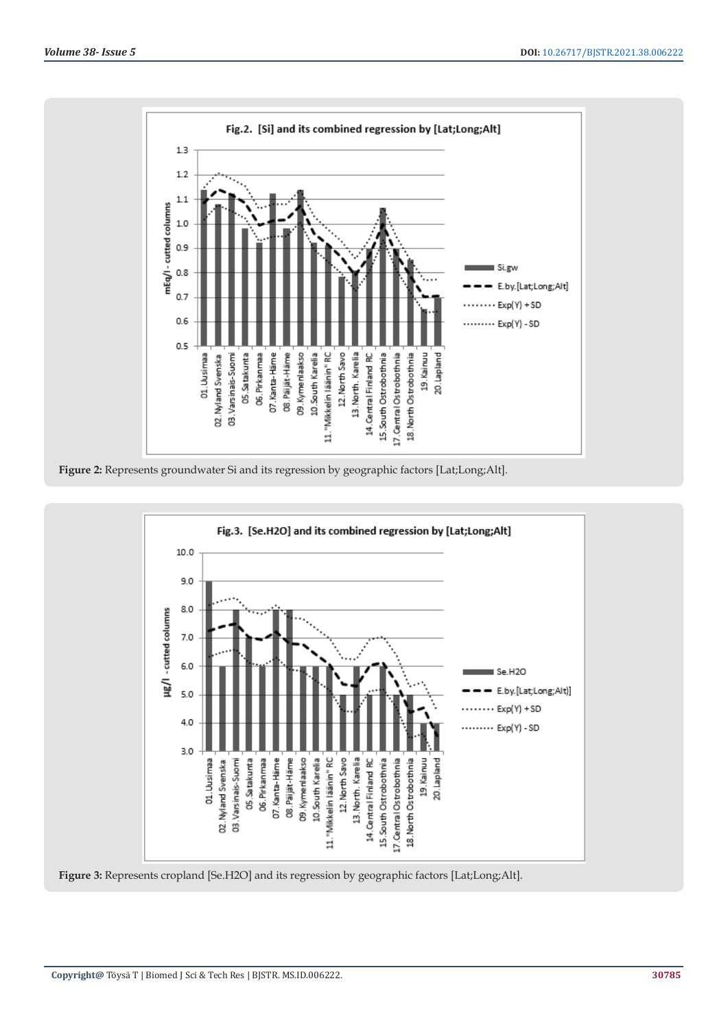





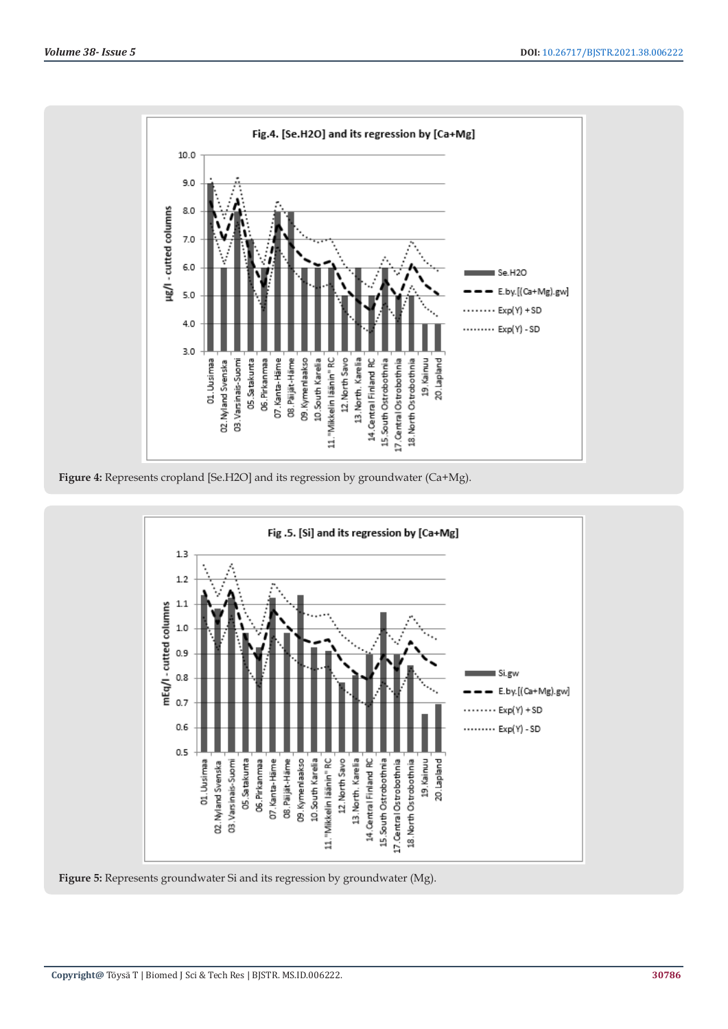

**Figure 4:** Represents cropland [Se.H2O] and its regression by groundwater (Ca+Mg).



**Figure 5:** Represents groundwater Si and its regression by groundwater (Mg).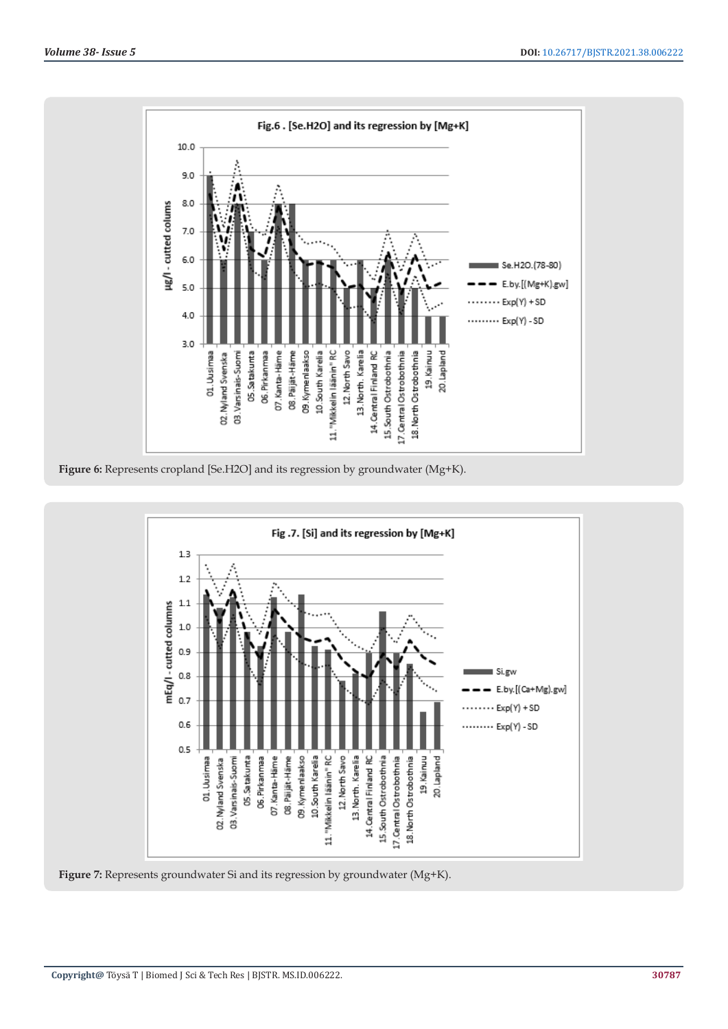

**Figure 6:** Represents cropland [Se.H2O] and its regression by groundwater (Mg+K).



**Figure 7:** Represents groundwater Si and its regression by groundwater (Mg+K).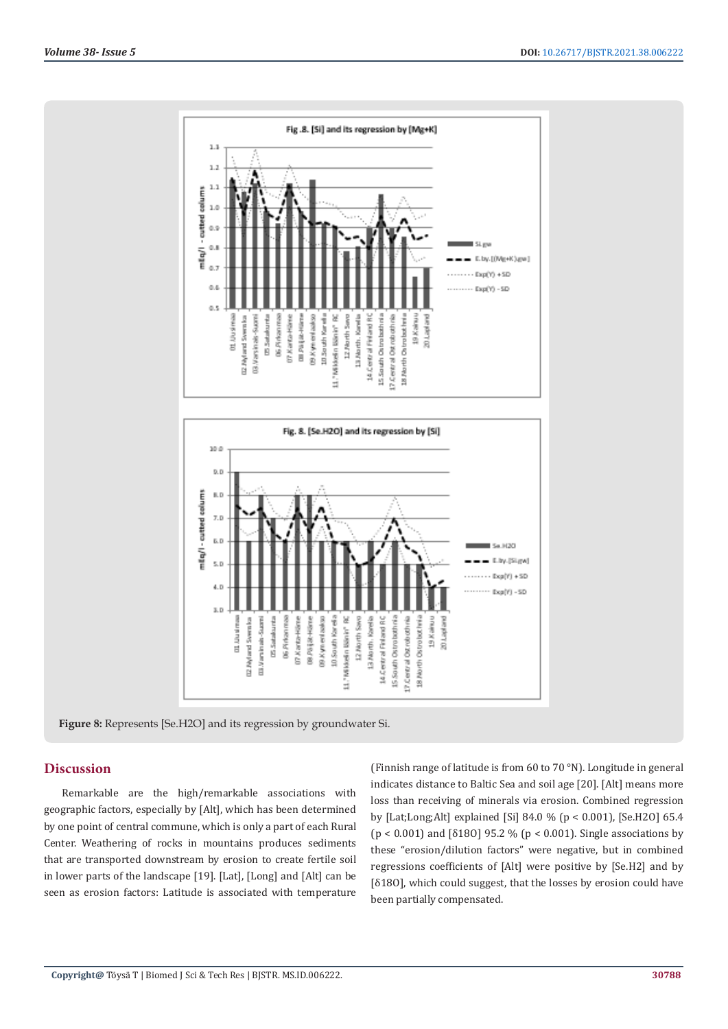

**Figure 8:** Represents [Se.H2O] and its regression by groundwater Si.

#### **Discussion**

Remarkable are the high/remarkable associations with geographic factors, especially by [Alt], which has been determined by one point of central commune, which is only a part of each Rural Center. Weathering of rocks in mountains produces sediments that are transported downstream by erosion to create fertile soil in lower parts of the landscape [19]. [Lat], [Long] and [Alt] can be seen as erosion factors: Latitude is associated with temperature

(Finnish range of latitude is from 60 to 70 °N). Longitude in general indicates distance to Baltic Sea and soil age [20]. [Alt] means more loss than receiving of minerals via erosion. Combined regression by [Lat;Long;Alt] explained [Si] 84.0 % (p < 0.001), [Se.H2O] 65.4 (p < 0.001) and [δ18O] 95.2 % (p < 0.001). Single associations by these "erosion/dilution factors" were negative, but in combined regressions coefficients of [Alt] were positive by [Se.H2] and by [δ18O], which could suggest, that the losses by erosion could have been partially compensated.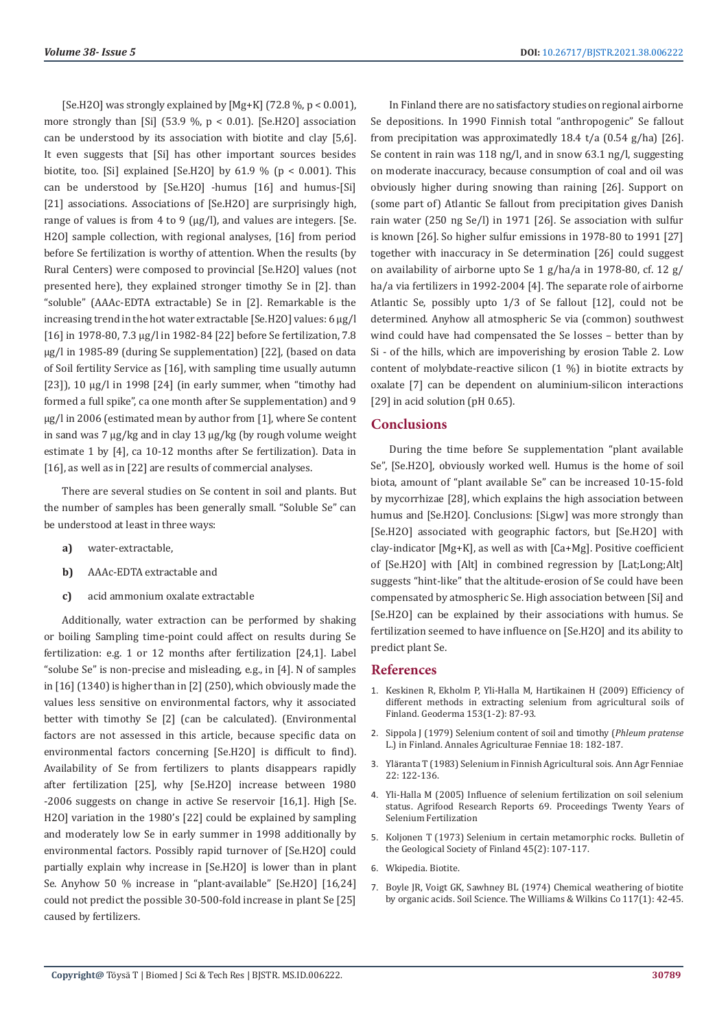[Se.H2O] was strongly explained by  $[Mg+K]$  (72.8 %, p < 0.001), more strongly than [Si] (53.9 %,  $p < 0.01$ ). [Se.H2O] association can be understood by its association with biotite and clay [5,6]. It even suggests that [Si] has other important sources besides biotite, too. [Si] explained [Se, H2O] by  $61.9 \%$  (p < 0.001). This can be understood by [Se.H2O] -humus [16] and humus-[Si] [21] associations. Associations of [Se.H2O] are surprisingly high, range of values is from 4 to 9 ( $\mu$ g/l), and values are integers. [Se. H2O] sample collection, with regional analyses, [16] from period before Se fertilization is worthy of attention. When the results (by Rural Centers) were composed to provincial [Se.H2O] values (not presented here), they explained stronger timothy Se in [2]. than "soluble" (AAAc-EDTA extractable) Se in [2]. Remarkable is the increasing trend in the hot water extractable [Se.H2O] values: 6 µg/l [16] in 1978-80, 7.3 µg/l in 1982-84 [22] before Se fertilization, 7.8 µg/l in 1985-89 (during Se supplementation) [22], (based on data of Soil fertility Service as [16], with sampling time usually autumn [23]), 10  $\mu$ g/l in 1998 [24] (in early summer, when "timothy had formed a full spike", ca one month after Se supplementation) and 9 µg/l in 2006 (estimated mean by author from [1], where Se content in sand was 7 µg/kg and in clay 13 µg/kg (by rough volume weight estimate 1 by [4], ca 10-12 months after Se fertilization). Data in [16], as well as in [22] are results of commercial analyses.

There are several studies on Se content in soil and plants. But the number of samples has been generally small. "Soluble Se" can be understood at least in three ways:

- **a)** water-extractable,
- **b)** AAAc-EDTA extractable and
- **c)** acid ammonium oxalate extractable

Additionally, water extraction can be performed by shaking or boiling Sampling time-point could affect on results during Se fertilization: e.g. 1 or 12 months after fertilization [24,1]. Label "solube Se" is non-precise and misleading, e.g., in [4]. N of samples in [16] (1340) is higher than in [2] (250), which obviously made the values less sensitive on environmental factors, why it associated better with timothy Se [2] (can be calculated). (Environmental factors are not assessed in this article, because specific data on environmental factors concerning [Se.H2O] is difficult to find). Availability of Se from fertilizers to plants disappears rapidly after fertilization [25], why [Se.H2O] increase between 1980 -2006 suggests on change in active Se reservoir [16,1]. High [Se. H2O] variation in the 1980's [22] could be explained by sampling and moderately low Se in early summer in 1998 additionally by environmental factors. Possibly rapid turnover of [Se.H2O] could partially explain why increase in [Se.H2O] is lower than in plant Se. Anyhow 50 % increase in "plant-available" [Se.H2O] [16,24] could not predict the possible 30-500-fold increase in plant Se [25] caused by fertilizers.

In Finland there are no satisfactory studies on regional airborne Se depositions. In 1990 Finnish total "anthropogenic" Se fallout from precipitation was approximatedly 18.4 t/a  $(0.54 \text{ g/ha})$  [26]. Se content in rain was 118 ng/l, and in snow 63.1 ng/l, suggesting on moderate inaccuracy, because consumption of coal and oil was obviously higher during snowing than raining [26]. Support on (some part of) Atlantic Se fallout from precipitation gives Danish rain water (250 ng Se/l) in 1971 [26]. Se association with sulfur is known [26]. So higher sulfur emissions in 1978-80 to 1991 [27] together with inaccuracy in Se determination [26] could suggest on availability of airborne upto Se 1 g/ha/a in 1978-80, cf. 12 g/ ha/a via fertilizers in 1992-2004 [4]. The separate role of airborne Atlantic Se, possibly upto 1/3 of Se fallout [12], could not be determined. Anyhow all atmospheric Se via (common) southwest wind could have had compensated the Se losses – better than by Si - of the hills, which are impoverishing by erosion Table 2. Low content of molybdate-reactive silicon (1 %) in biotite extracts by oxalate [7] can be dependent on aluminium-silicon interactions [29] in acid solution (pH 0.65).

#### **Conclusions**

During the time before Se supplementation "plant available Se", [Se.H2O], obviously worked well. Humus is the home of soil biota, amount of "plant available Se" can be increased 10-15-fold by mycorrhizae [28], which explains the high association between humus and [Se.H2O]. Conclusions: [Si.gw] was more strongly than [Se.H2O] associated with geographic factors, but [Se.H2O] with clay-indicator [Mg+K], as well as with [Ca+Mg]. Positive coefficient of [Se.H2O] with [Alt] in combined regression by [Lat;Long;Alt] suggests "hint-like" that the altitude-erosion of Se could have been compensated by atmospheric Se. High association between [Si] and [Se.H2O] can be explained by their associations with humus. Se fertilization seemed to have influence on [Se.H2O] and its ability to predict plant Se.

#### **References**

- 1. [Keskinen R, Ekholm P, Yli-Halla M, Hartikainen H \(2009\) Efficiency of](https://www.sciencedirect.com/science/article/abs/pii/S0016706109002341) [different methods in extracting selenium from agricultural soils of](https://www.sciencedirect.com/science/article/abs/pii/S0016706109002341) [Finland. Geoderma 153\(1-2\): 87-93.](https://www.sciencedirect.com/science/article/abs/pii/S0016706109002341)
- 2. [Sippola J \(1979\) Selenium content of soil and timothy \(](https://agris.fao.org/agris-search/search.do?recordID=FI19800527551)*Phleum pratense* [L.\) in Finland. Annales Agriculturae Fenniae 18: 182-187.](https://agris.fao.org/agris-search/search.do?recordID=FI19800527551)
- 3. Yläranta T (1983) Selenium in Finnish Agricultural sois. Ann Agr Fenniae 22: 122-136.
- 4. Yli-Halla M (2005) Influence of selenium fertilization on soil selenium status. Agrifood Research Reports 69. Proceedings Twenty Years of Selenium Fertilization
- 5. [Koljonen T \(1973\) Selenium in certain metamorphic rocks. Bulletin of](https://www.researchgate.net/publication/284490127_Selenium_in_certain_metamorphic_rocks) [the Geological Society of Finland 45\(2\): 107-117.](https://www.researchgate.net/publication/284490127_Selenium_in_certain_metamorphic_rocks)
- 6. Wkipedia. Biotite.
- 7. [Boyle JR, Voigt GK, Sawhney BL \(1974\) Chemical weathering of biotite](https://journals.lww.com/soilsci/Citation/1974/01000/Chemical_Weathering_of_Biotite_By_Organic_Acids.6.aspx) [by organic acids. Soil Science. The Williams & Wilkins Co 117\(1\): 42-45.](https://journals.lww.com/soilsci/Citation/1974/01000/Chemical_Weathering_of_Biotite_By_Organic_Acids.6.aspx)